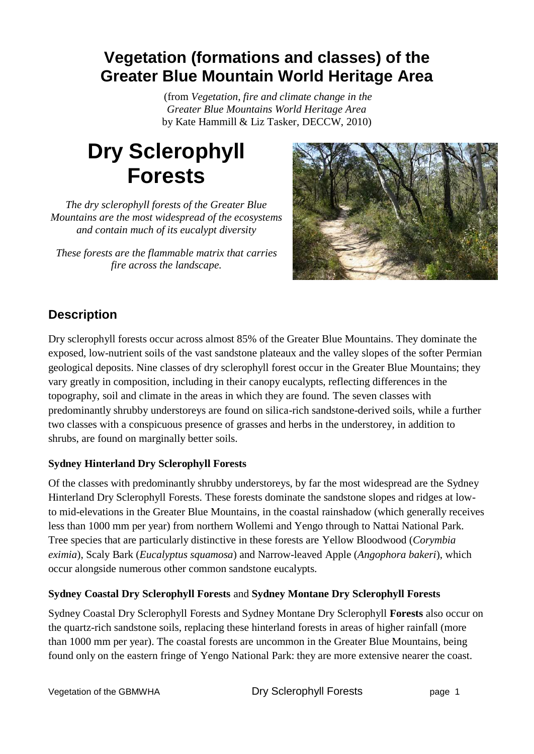## **Vegetation (formations and classes) of the Greater Blue Mountain World Heritage Area**

(from *Vegetation, fire and climate change in the Greater Blue Mountains World Heritage Area* by Kate Hammill & Liz Tasker, DECCW, 2010)

# **Dry Sclerophyll Forests**

*The dry sclerophyll forests of the Greater Blue Mountains are the most widespread of the ecosystems and contain much of its eucalypt diversity*

*These forests are the flammable matrix that carries fire across the landscape.*



### **Description**

Dry sclerophyll forests occur across almost 85% of the Greater Blue Mountains. They dominate the exposed, low-nutrient soils of the vast sandstone plateaux and the valley slopes of the softer Permian geological deposits. Nine classes of dry sclerophyll forest occur in the Greater Blue Mountains; they vary greatly in composition, including in their canopy eucalypts, reflecting differences in the topography, soil and climate in the areas in which they are found. The seven classes with predominantly shrubby understoreys are found on silica-rich sandstone-derived soils, while a further two classes with a conspicuous presence of grasses and herbs in the understorey, in addition to shrubs, are found on marginally better soils.

#### **Sydney Hinterland Dry Sclerophyll Forests**

Of the classes with predominantly shrubby understoreys, by far the most widespread are the Sydney Hinterland Dry Sclerophyll Forests. These forests dominate the sandstone slopes and ridges at lowto mid-elevations in the Greater Blue Mountains, in the coastal rainshadow (which generally receives less than 1000 mm per year) from northern Wollemi and Yengo through to Nattai National Park. Tree species that are particularly distinctive in these forests are Yellow Bloodwood (*Corymbia eximia*), Scaly Bark (*Eucalyptus squamosa*) and Narrow-leaved Apple (*Angophora bakeri*), which occur alongside numerous other common sandstone eucalypts.

#### **Sydney Coastal Dry Sclerophyll Forests** and **Sydney Montane Dry Sclerophyll Forests**

Sydney Coastal Dry Sclerophyll Forests and Sydney Montane Dry Sclerophyll **Forests** also occur on the quartz-rich sandstone soils, replacing these hinterland forests in areas of higher rainfall (more than 1000 mm per year). The coastal forests are uncommon in the Greater Blue Mountains, being found only on the eastern fringe of Yengo National Park: they are more extensive nearer the coast.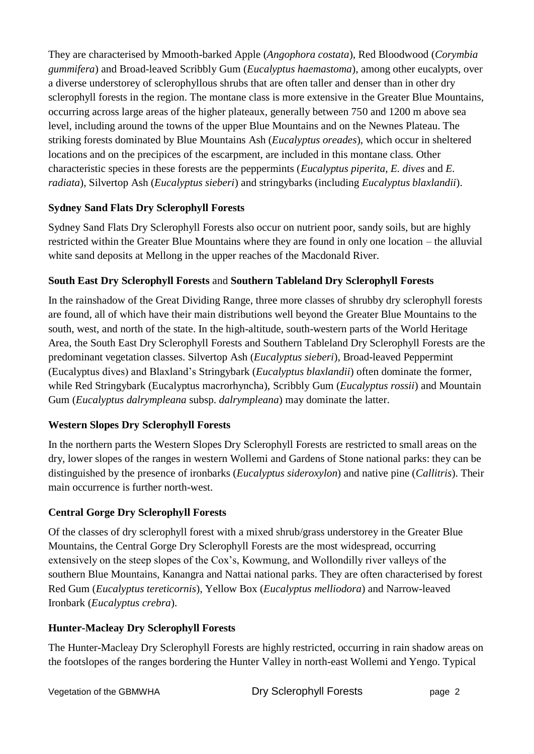They are characterised by Mmooth-barked Apple (*Angophora costata*), Red Bloodwood (*Corymbia gummifera*) and Broad-leaved Scribbly Gum (*Eucalyptus haemastoma*), among other eucalypts, over a diverse understorey of sclerophyllous shrubs that are often taller and denser than in other dry sclerophyll forests in the region. The montane class is more extensive in the Greater Blue Mountains, occurring across large areas of the higher plateaux, generally between 750 and 1200 m above sea level, including around the towns of the upper Blue Mountains and on the Newnes Plateau. The striking forests dominated by Blue Mountains Ash (*Eucalyptus oreades*), which occur in sheltered locations and on the precipices of the escarpment, are included in this montane class. Other characteristic species in these forests are the peppermints (*Eucalyptus piperita*, *E. dives* and *E. radiata*), Silvertop Ash (*Eucalyptus sieberi*) and stringybarks (including *Eucalyptus blaxlandii*).

#### **Sydney Sand Flats Dry Sclerophyll Forests**

Sydney Sand Flats Dry Sclerophyll Forests also occur on nutrient poor, sandy soils, but are highly restricted within the Greater Blue Mountains where they are found in only one location – the alluvial white sand deposits at Mellong in the upper reaches of the Macdonald River.

#### **South East Dry Sclerophyll Forests** and **Southern Tableland Dry Sclerophyll Forests**

In the rainshadow of the Great Dividing Range, three more classes of shrubby dry sclerophyll forests are found, all of which have their main distributions well beyond the Greater Blue Mountains to the south, west, and north of the state. In the high-altitude, south-western parts of the World Heritage Area, the South East Dry Sclerophyll Forests and Southern Tableland Dry Sclerophyll Forests are the predominant vegetation classes. Silvertop Ash (*Eucalyptus sieberi*), Broad-leaved Peppermint (Eucalyptus dives) and Blaxland's Stringybark (*Eucalyptus blaxlandii*) often dominate the former, while Red Stringybark (Eucalyptus macrorhyncha), Scribbly Gum (*Eucalyptus rossii*) and Mountain Gum (*Eucalyptus dalrympleana* subsp. *dalrympleana*) may dominate the latter.

#### **Western Slopes Dry Sclerophyll Forests**

In the northern parts the Western Slopes Dry Sclerophyll Forests are restricted to small areas on the dry, lower slopes of the ranges in western Wollemi and Gardens of Stone national parks: they can be distinguished by the presence of ironbarks (*Eucalyptus sideroxylon*) and native pine (*Callitris*). Their main occurrence is further north-west.

#### **Central Gorge Dry Sclerophyll Forests**

Of the classes of dry sclerophyll forest with a mixed shrub/grass understorey in the Greater Blue Mountains, the Central Gorge Dry Sclerophyll Forests are the most widespread, occurring extensively on the steep slopes of the Cox's, Kowmung, and Wollondilly river valleys of the southern Blue Mountains, Kanangra and Nattai national parks. They are often characterised by forest Red Gum (*Eucalyptus tereticornis*), Yellow Box (*Eucalyptus melliodora*) and Narrow-leaved Ironbark (*Eucalyptus crebra*).

#### **Hunter-Macleay Dry Sclerophyll Forests**

The Hunter-Macleay Dry Sclerophyll Forests are highly restricted, occurring in rain shadow areas on the footslopes of the ranges bordering the Hunter Valley in north-east Wollemi and Yengo. Typical